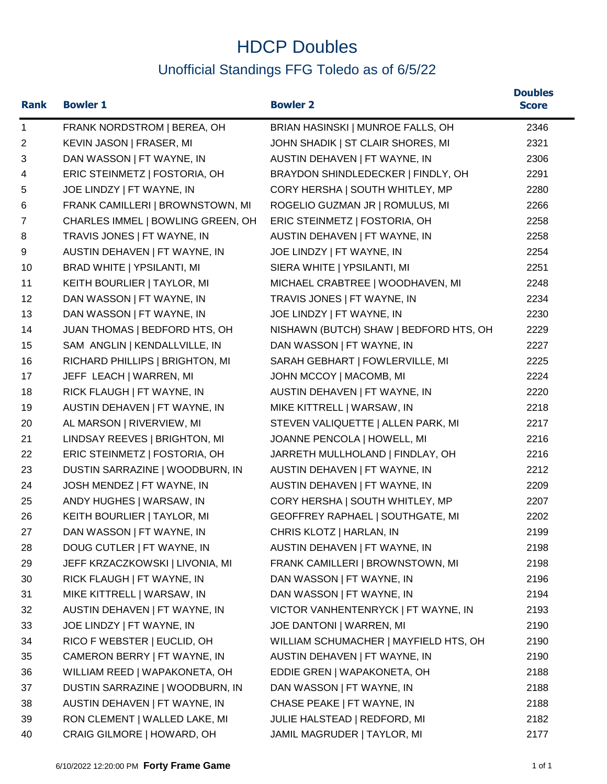## HDCP Doubles Unofficial Standings FFG Toledo as of 6/5/22

| <b>Rank</b>  | <b>Bowler 1</b>                   | <b>Bowler 2</b>                        | <b>Doubles</b><br><b>Score</b> |
|--------------|-----------------------------------|----------------------------------------|--------------------------------|
| $\mathbf{1}$ | FRANK NORDSTROM   BEREA, OH       | BRIAN HASINSKI   MUNROE FALLS, OH      | 2346                           |
| 2            | KEVIN JASON   FRASER, MI          | JOHN SHADIK   ST CLAIR SHORES, MI      | 2321                           |
| 3            | DAN WASSON   FT WAYNE, IN         | AUSTIN DEHAVEN   FT WAYNE, IN          | 2306                           |
| 4            | ERIC STEINMETZ   FOSTORIA, OH     | BRAYDON SHINDLEDECKER   FINDLY, OH     | 2291                           |
| 5            | JOE LINDZY   FT WAYNE, IN         | CORY HERSHA   SOUTH WHITLEY, MP        | 2280                           |
| 6            | FRANK CAMILLERI   BROWNSTOWN, MI  | ROGELIO GUZMAN JR   ROMULUS, MI        | 2266                           |
| 7            | CHARLES IMMEL   BOWLING GREEN, OH | ERIC STEINMETZ   FOSTORIA, OH          | 2258                           |
| 8            | TRAVIS JONES   FT WAYNE, IN       | AUSTIN DEHAVEN   FT WAYNE, IN          | 2258                           |
| 9            | AUSTIN DEHAVEN   FT WAYNE, IN     | JOE LINDZY   FT WAYNE, IN              | 2254                           |
| 10           | BRAD WHITE   YPSILANTI, MI        | SIERA WHITE   YPSILANTI, MI            | 2251                           |
| 11           | KEITH BOURLIER   TAYLOR, MI       | MICHAEL CRABTREE   WOODHAVEN, MI       | 2248                           |
| 12           | DAN WASSON   FT WAYNE, IN         | TRAVIS JONES   FT WAYNE, IN            | 2234                           |
| 13           | DAN WASSON   FT WAYNE, IN         | JOE LINDZY   FT WAYNE, IN              | 2230                           |
| 14           | JUAN THOMAS   BEDFORD HTS, OH     | NISHAWN (BUTCH) SHAW   BEDFORD HTS, OH | 2229                           |
| 15           | SAM ANGLIN   KENDALLVILLE, IN     | DAN WASSON   FT WAYNE, IN              | 2227                           |
| 16           | RICHARD PHILLIPS   BRIGHTON, MI   | SARAH GEBHART   FOWLERVILLE, MI        | 2225                           |
| 17           | JEFF LEACH   WARREN, MI           | JOHN MCCOY   MACOMB, MI                | 2224                           |
| 18           | RICK FLAUGH   FT WAYNE, IN        | AUSTIN DEHAVEN   FT WAYNE, IN          | 2220                           |
| 19           | AUSTIN DEHAVEN   FT WAYNE, IN     | MIKE KITTRELL   WARSAW, IN             | 2218                           |
| 20           | AL MARSON   RIVERVIEW, MI         | STEVEN VALIQUETTE   ALLEN PARK, MI     | 2217                           |
| 21           | LINDSAY REEVES   BRIGHTON, MI     | JOANNE PENCOLA   HOWELL, MI            | 2216                           |
| 22           | ERIC STEINMETZ   FOSTORIA, OH     | JARRETH MULLHOLAND   FINDLAY, OH       | 2216                           |
| 23           | DUSTIN SARRAZINE   WOODBURN, IN   | AUSTIN DEHAVEN   FT WAYNE, IN          | 2212                           |
| 24           | JOSH MENDEZ   FT WAYNE, IN        | AUSTIN DEHAVEN   FT WAYNE, IN          | 2209                           |
| 25           | ANDY HUGHES   WARSAW, IN          | CORY HERSHA   SOUTH WHITLEY, MP        | 2207                           |
| 26           | KEITH BOURLIER   TAYLOR, MI       | GEOFFREY RAPHAEL   SOUTHGATE, MI       | 2202                           |
| 27           | DAN WASSON   FT WAYNE, IN         | CHRIS KLOTZ   HARLAN, IN               | 2199                           |
| 28           | DOUG CUTLER   FT WAYNE, IN        | AUSTIN DEHAVEN   FT WAYNE, IN          | 2198                           |
| 29           | JEFF KRZACZKOWSKI   LIVONIA, MI   | FRANK CAMILLERI   BROWNSTOWN, MI       | 2198                           |
| 30           | RICK FLAUGH   FT WAYNE, IN        | DAN WASSON   FT WAYNE, IN              | 2196                           |
| 31           | MIKE KITTRELL   WARSAW, IN        | DAN WASSON   FT WAYNE, IN              | 2194                           |
| 32           | AUSTIN DEHAVEN   FT WAYNE, IN     | VICTOR VANHENTENRYCK   FT WAYNE, IN    | 2193                           |
| 33           | JOE LINDZY   FT WAYNE, IN         | JOE DANTONI   WARREN, MI               | 2190                           |
| 34           | RICO F WEBSTER   EUCLID, OH       | WILLIAM SCHUMACHER   MAYFIELD HTS, OH  | 2190                           |
| 35           | CAMERON BERRY   FT WAYNE, IN      | AUSTIN DEHAVEN   FT WAYNE, IN          | 2190                           |
| 36           | WILLIAM REED   WAPAKONETA, OH     | EDDIE GREN   WAPAKONETA, OH            | 2188                           |
| 37           | DUSTIN SARRAZINE   WOODBURN, IN   | DAN WASSON   FT WAYNE, IN              | 2188                           |
| 38           | AUSTIN DEHAVEN   FT WAYNE, IN     | CHASE PEAKE   FT WAYNE, IN             | 2188                           |
| 39           | RON CLEMENT   WALLED LAKE, MI     | JULIE HALSTEAD   REDFORD, MI           | 2182                           |
| 40           | CRAIG GILMORE   HOWARD, OH        | JAMIL MAGRUDER   TAYLOR, MI            | 2177                           |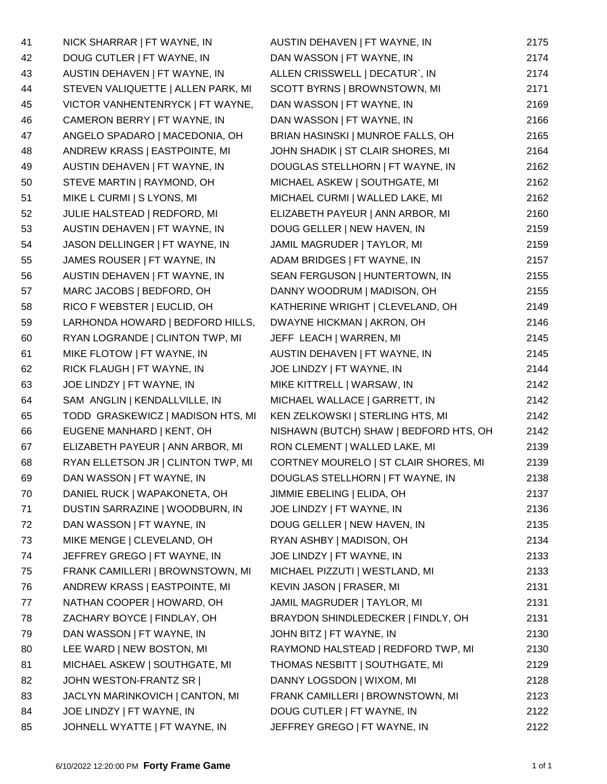| 41 | NICK SHARRAR   FT WAYNE, IN        | AUSTIN DEHAVEN   FT WAYNE, IN          | 2175 |
|----|------------------------------------|----------------------------------------|------|
| 42 | DOUG CUTLER   FT WAYNE, IN         | DAN WASSON   FT WAYNE, IN              | 2174 |
| 43 | AUSTIN DEHAVEN   FT WAYNE, IN      | ALLEN CRISSWELL   DECATUR`, IN         | 2174 |
| 44 | STEVEN VALIQUETTE   ALLEN PARK, MI | SCOTT BYRNS   BROWNSTOWN, MI           | 2171 |
| 45 | VICTOR VANHENTENRYCK   FT WAYNE,   | DAN WASSON   FT WAYNE, IN              | 2169 |
| 46 | CAMERON BERRY   FT WAYNE, IN       | DAN WASSON   FT WAYNE, IN              | 2166 |
| 47 | ANGELO SPADARO   MACEDONIA, OH     | BRIAN HASINSKI   MUNROE FALLS, OH      | 2165 |
| 48 | ANDREW KRASS   EASTPOINTE, MI      | JOHN SHADIK   ST CLAIR SHORES, MI      | 2164 |
| 49 | AUSTIN DEHAVEN   FT WAYNE, IN      | DOUGLAS STELLHORN   FT WAYNE, IN       | 2162 |
| 50 | STEVE MARTIN   RAYMOND, OH         | MICHAEL ASKEW   SOUTHGATE, MI          | 2162 |
| 51 | MIKE L CURMI   S LYONS, MI         | MICHAEL CURMI   WALLED LAKE, MI        | 2162 |
| 52 | JULIE HALSTEAD   REDFORD, MI       | ELIZABETH PAYEUR   ANN ARBOR, MI       | 2160 |
| 53 | AUSTIN DEHAVEN   FT WAYNE, IN      | DOUG GELLER   NEW HAVEN, IN            | 2159 |
| 54 | JASON DELLINGER   FT WAYNE, IN     | JAMIL MAGRUDER   TAYLOR, MI            | 2159 |
| 55 | JAMES ROUSER   FT WAYNE, IN        | ADAM BRIDGES   FT WAYNE, IN            | 2157 |
| 56 | AUSTIN DEHAVEN   FT WAYNE, IN      | SEAN FERGUSON   HUNTERTOWN, IN         | 2155 |
| 57 | MARC JACOBS   BEDFORD, OH          | DANNY WOODRUM   MADISON, OH            | 2155 |
| 58 | RICO F WEBSTER   EUCLID, OH        | KATHERINE WRIGHT   CLEVELAND, OH       | 2149 |
| 59 | LARHONDA HOWARD   BEDFORD HILLS,   | DWAYNE HICKMAN   AKRON, OH             | 2146 |
| 60 | RYAN LOGRANDE   CLINTON TWP, MI    | JEFF LEACH   WARREN, MI                | 2145 |
| 61 | MIKE FLOTOW   FT WAYNE, IN         | AUSTIN DEHAVEN   FT WAYNE, IN          | 2145 |
| 62 | RICK FLAUGH   FT WAYNE, IN         | JOE LINDZY   FT WAYNE, IN              | 2144 |
| 63 | JOE LINDZY   FT WAYNE, IN          | MIKE KITTRELL   WARSAW, IN             | 2142 |
| 64 | SAM ANGLIN   KENDALLVILLE, IN      | MICHAEL WALLACE   GARRETT, IN          | 2142 |
| 65 | TODD GRASKEWICZ   MADISON HTS, MI  | KEN ZELKOWSKI   STERLING HTS, MI       | 2142 |
| 66 | EUGENE MANHARD   KENT, OH          | NISHAWN (BUTCH) SHAW   BEDFORD HTS, OH | 2142 |
| 67 | ELIZABETH PAYEUR   ANN ARBOR, MI   | RON CLEMENT   WALLED LAKE, MI          | 2139 |
| 68 | RYAN ELLETSON JR   CLINTON TWP, MI | CORTNEY MOURELO   ST CLAIR SHORES, MI  | 2139 |
| 69 | DAN WASSON   FT WAYNE, IN          | DOUGLAS STELLHORN   FT WAYNE, IN       | 2138 |
| 70 | DANIEL RUCK   WAPAKONETA, OH       | JIMMIE EBELING   ELIDA, OH             | 2137 |
| 71 | DUSTIN SARRAZINE   WOODBURN, IN    | JOE LINDZY   FT WAYNE, IN              | 2136 |
| 72 | DAN WASSON   FT WAYNE, IN          | DOUG GELLER   NEW HAVEN, IN            | 2135 |
| 73 | MIKE MENGE   CLEVELAND, OH         | RYAN ASHBY   MADISON, OH               | 2134 |
| 74 | JEFFREY GREGO   FT WAYNE, IN       | JOE LINDZY   FT WAYNE, IN              | 2133 |
| 75 | FRANK CAMILLERI   BROWNSTOWN, MI   | MICHAEL PIZZUTI   WESTLAND, MI         | 2133 |
| 76 | ANDREW KRASS   EASTPOINTE, MI      | KEVIN JASON   FRASER, MI               | 2131 |
| 77 | NATHAN COOPER   HOWARD, OH         | JAMIL MAGRUDER   TAYLOR, MI            | 2131 |
| 78 | ZACHARY BOYCE   FINDLAY, OH        | BRAYDON SHINDLEDECKER   FINDLY, OH     | 2131 |
| 79 | DAN WASSON   FT WAYNE, IN          | JOHN BITZ   FT WAYNE, IN               | 2130 |
| 80 | LEE WARD   NEW BOSTON, MI          | RAYMOND HALSTEAD   REDFORD TWP, MI     | 2130 |
| 81 | MICHAEL ASKEW   SOUTHGATE, MI      | THOMAS NESBITT   SOUTHGATE, MI         | 2129 |
| 82 | JOHN WESTON-FRANTZ SR              | DANNY LOGSDON   WIXOM, MI              | 2128 |
| 83 | JACLYN MARINKOVICH   CANTON, MI    | FRANK CAMILLERI   BROWNSTOWN, MI       | 2123 |
| 84 | JOE LINDZY   FT WAYNE, IN          | DOUG CUTLER   FT WAYNE, IN             | 2122 |
| 85 | JOHNELL WYATTE   FT WAYNE, IN      | JEFFREY GREGO   FT WAYNE, IN           | 2122 |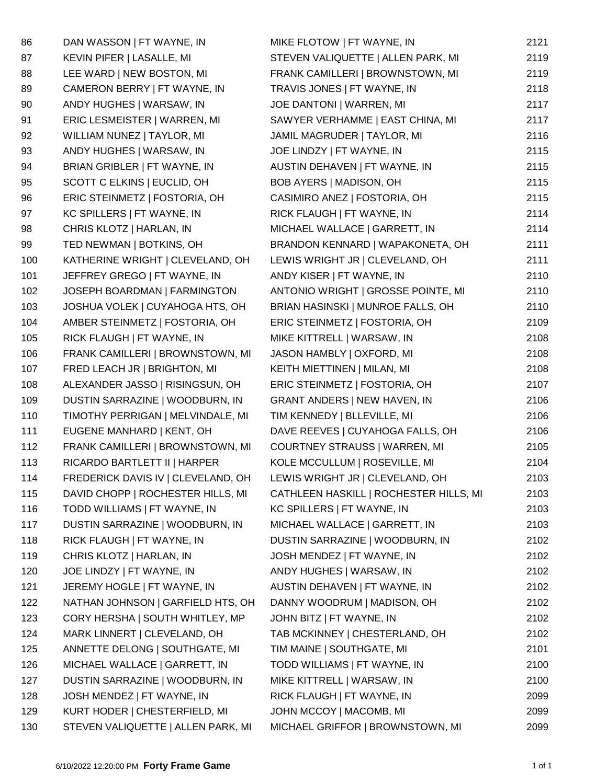| 86  | DAN WASSON   FT WAYNE, IN          | MIKE FLOTOW   FT WAYNE, IN             | 2121 |
|-----|------------------------------------|----------------------------------------|------|
| 87  | KEVIN PIFER   LASALLE, MI          | STEVEN VALIQUETTE   ALLEN PARK, MI     | 2119 |
| 88  | LEE WARD   NEW BOSTON, MI          | FRANK CAMILLERI   BROWNSTOWN, MI       | 2119 |
| 89  | CAMERON BERRY   FT WAYNE, IN       | TRAVIS JONES   FT WAYNE, IN            | 2118 |
| 90  | ANDY HUGHES   WARSAW, IN           | JOE DANTONI   WARREN, MI               | 2117 |
| 91  | ERIC LESMEISTER   WARREN, MI       | SAWYER VERHAMME   EAST CHINA, MI       | 2117 |
| 92  | WILLIAM NUNEZ   TAYLOR, MI         | JAMIL MAGRUDER   TAYLOR, MI            | 2116 |
| 93  | ANDY HUGHES   WARSAW, IN           | JOE LINDZY   FT WAYNE, IN              | 2115 |
| 94  | BRIAN GRIBLER   FT WAYNE, IN       | AUSTIN DEHAVEN   FT WAYNE, IN          | 2115 |
| 95  | SCOTT C ELKINS   EUCLID, OH        | BOB AYERS   MADISON, OH                | 2115 |
| 96  | ERIC STEINMETZ   FOSTORIA, OH      | CASIMIRO ANEZ   FOSTORIA, OH           | 2115 |
| 97  | KC SPILLERS   FT WAYNE, IN         | RICK FLAUGH   FT WAYNE, IN             | 2114 |
| 98  | CHRIS KLOTZ   HARLAN, IN           | MICHAEL WALLACE   GARRETT, IN          | 2114 |
| 99  | TED NEWMAN   BOTKINS, OH           | BRANDON KENNARD   WAPAKONETA, OH       | 2111 |
| 100 | KATHERINE WRIGHT   CLEVELAND, OH   | LEWIS WRIGHT JR   CLEVELAND, OH        | 2111 |
| 101 | JEFFREY GREGO   FT WAYNE, IN       | ANDY KISER   FT WAYNE, IN              | 2110 |
| 102 | JOSEPH BOARDMAN   FARMINGTON       | ANTONIO WRIGHT   GROSSE POINTE, MI     | 2110 |
| 103 | JOSHUA VOLEK   CUYAHOGA HTS, OH    | BRIAN HASINSKI   MUNROE FALLS, OH      | 2110 |
| 104 | AMBER STEINMETZ   FOSTORIA, OH     | ERIC STEINMETZ   FOSTORIA, OH          | 2109 |
| 105 | RICK FLAUGH   FT WAYNE, IN         | MIKE KITTRELL   WARSAW, IN             | 2108 |
| 106 | FRANK CAMILLERI   BROWNSTOWN, MI   | JASON HAMBLY   OXFORD, MI              | 2108 |
| 107 | FRED LEACH JR   BRIGHTON, MI       | KEITH MIETTINEN   MILAN, MI            | 2108 |
| 108 | ALEXANDER JASSO   RISINGSUN, OH    | ERIC STEINMETZ   FOSTORIA, OH          | 2107 |
| 109 | DUSTIN SARRAZINE   WOODBURN, IN    | <b>GRANT ANDERS   NEW HAVEN, IN</b>    | 2106 |
| 110 | TIMOTHY PERRIGAN   MELVINDALE, MI  | TIM KENNEDY   BLLEVILLE, MI            | 2106 |
| 111 | EUGENE MANHARD   KENT, OH          | DAVE REEVES   CUYAHOGA FALLS, OH       | 2106 |
| 112 | FRANK CAMILLERI   BROWNSTOWN, MI   | COURTNEY STRAUSS   WARREN, MI          | 2105 |
| 113 | RICARDO BARTLETT II   HARPER       | KOLE MCCULLUM   ROSEVILLE, MI          | 2104 |
| 114 | FREDERICK DAVIS IV   CLEVELAND, OH | LEWIS WRIGHT JR   CLEVELAND, OH        | 2103 |
| 115 | DAVID CHOPP   ROCHESTER HILLS, MI  | CATHLEEN HASKILL   ROCHESTER HILLS, MI | 2103 |
| 116 | TODD WILLIAMS   FT WAYNE, IN       | KC SPILLERS   FT WAYNE, IN             | 2103 |
| 117 | DUSTIN SARRAZINE   WOODBURN, IN    | MICHAEL WALLACE   GARRETT, IN          | 2103 |
| 118 | RICK FLAUGH   FT WAYNE, IN         | DUSTIN SARRAZINE   WOODBURN, IN        | 2102 |
| 119 | CHRIS KLOTZ   HARLAN, IN           | JOSH MENDEZ   FT WAYNE, IN             | 2102 |
| 120 | JOE LINDZY   FT WAYNE, IN          | ANDY HUGHES   WARSAW, IN               | 2102 |
| 121 | JEREMY HOGLE   FT WAYNE, IN        | AUSTIN DEHAVEN   FT WAYNE, IN          | 2102 |
| 122 | NATHAN JOHNSON   GARFIELD HTS, OH  | DANNY WOODRUM   MADISON, OH            | 2102 |
| 123 | CORY HERSHA   SOUTH WHITLEY, MP    | JOHN BITZ   FT WAYNE, IN               | 2102 |
| 124 | MARK LINNERT   CLEVELAND, OH       | TAB MCKINNEY   CHESTERLAND, OH         | 2102 |
| 125 | ANNETTE DELONG   SOUTHGATE, MI     | TIM MAINE   SOUTHGATE, MI              | 2101 |
| 126 | MICHAEL WALLACE   GARRETT, IN      | TODD WILLIAMS   FT WAYNE, IN           | 2100 |
| 127 | DUSTIN SARRAZINE   WOODBURN, IN    | MIKE KITTRELL   WARSAW, IN             | 2100 |
| 128 | JOSH MENDEZ   FT WAYNE, IN         | RICK FLAUGH   FT WAYNE, IN             | 2099 |
| 129 | KURT HODER   CHESTERFIELD, MI      | JOHN MCCOY   MACOMB, MI                | 2099 |
| 130 | STEVEN VALIQUETTE   ALLEN PARK, MI | MICHAEL GRIFFOR   BROWNSTOWN, MI       | 2099 |